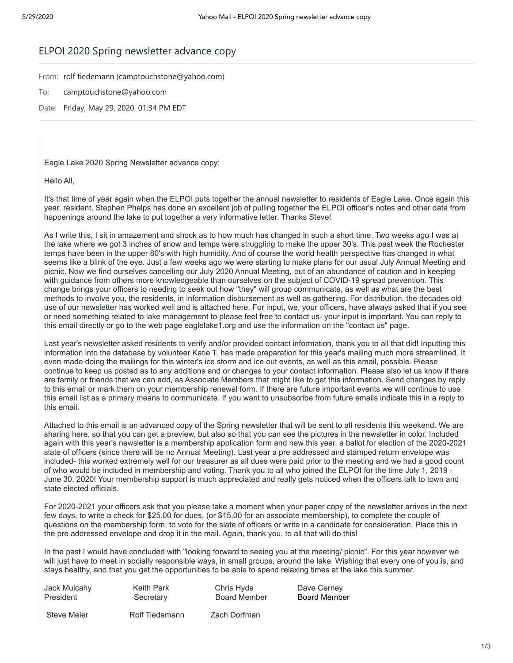## ELPOI 2020 Spring newsletter advance copy

From: rolf tiedemann (camptouchstone@yahoo.com)

- To: camptouchstone@yahoo.com
- Date: Friday, May 29, 2020, 01:34 PM EDT

Eagle Lake 2020 Spring Newsletter advance copy:

Hello All,

It's that time of year again when the ELPOI puts together the annual newsletter to residents of Eagle Lake. Once again this year, resident, Stephen Phelps has done an excellent job of pulling together the ELPOI officer's notes and other data from happenings around the lake to put together a very informative letter. Thanks Steve!

As I write this, I sit in amazement and shock as to how much has changed in such a short time. Two weeks ago I was at the lake where we got 3 inches of snow and temps were struggling to make the upper 30's. This past week the Rochester temps have been in the upper 80's with high humidity. And of course the world health perspective has changed in what seems like a blink of the eye. Just a few weeks ago we were starting to make plans for our usual July Annual Meeting and picnic. Now we find ourselves cancelling our July 2020 Annual Meeting, out of an abundance of caution and in keeping with guidance from others more knowledgeable than ourselves on the subject of COVID-19 spread prevention. This change brings your officers to needing to seek out how "they" will group communicate, as well as what are the best methods to involve you, the residents, in information disbursement as well as gathering. For distribution, the decades old use of our newsletter has worked well and is attached here. For input, we, your officers, have always asked that if you see or need something related to lake management to please feel free to contact us- your input is important. You can reply to this email directly or go to the web page eaglelake1.org and use the information on the "contact us" page.

Last year's newsletter asked residents to verify and/or provided contact information, thank you to all that did! Inputting this information into the database by volunteer Katie T. has made preparation for this year's mailing much more streamlined. It even made doing the mailings for this winter's ice storm and ice out events, as well as this email, possible. Please continue to keep us posted as to any additions and or changes to your contact information. Please also let us know if there are family or friends that we can add, as Associate Members that might like to get this information. Send changes by reply to this email or mark them on your membership renewal form. If there are future important events we will continue to use this email list as a primary means to communicate. If you want to unsubscribe from future emails indicate this in a reply to this email.

Attached to this email is an advanced copy of the Spring newsletter that will be sent to all residents this weekend. We are sharing here, so that you can get a preview, but also so that you can see the pictures in the newsletter in color. Included again with this year's newsletter is a membership application form and new this year, a ballot for election of the 2020-2021 slate of officers (since there will be no Annual Meeting). Last year a pre addressed and stamped return envelope was included- this worked extremely well for our treasurer as all dues were paid prior to the meeting and we had a good count of who would be included in membership and voting. Thank you to all who joined the ELPOI for the time July 1, 2019 - June 30, 2020! Your membership support is much appreciated and really gets noticed when the officers talk to town and state elected officials.

For 2020-2021 your officers ask that you please take a moment when your paper copy of the newsletter arrives in the next few days, to write a check for \$25.00 for dues, (or \$15.00 for an associate membership), to complete the couple of questions on the membership form, to vote for the slate of officers or write in a candidate for consideration. Place this in the pre addressed envelope and drop it in the mail. Again, thank you, to all that will do this!

In the past I would have concluded with "looking forward to seeing you at the meeting/ picnic". For this year however we will just have to meet in socially responsible ways, in small groups, around the lake. Wishing that every one of you is, and stays healthy, and that you get the opportunities to be able to spend relaxing times at the lake this summer.

Jack Mulcahy Keith Park Chris Hyde Dave Cerney President Secretary Board Member Board Member

Steve Meier **Rolf Tiedemann** Zach Dorfman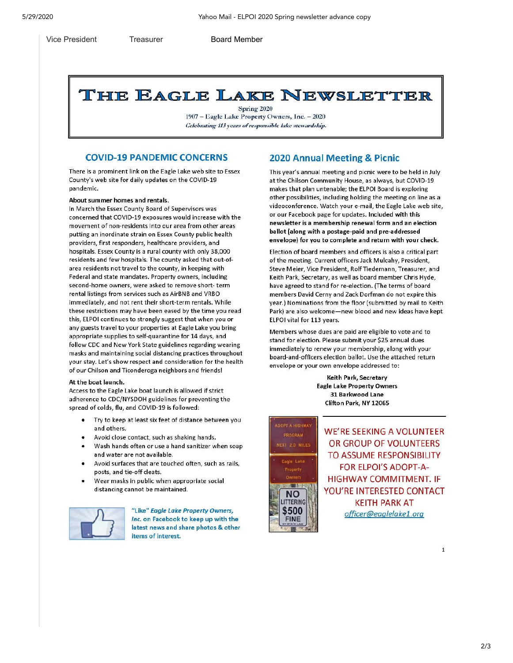#### **Vice President**

Treasurer

**Board Member** 

# THE EAGLE LAKE NEWSLETTER

Spring 2020 1907 - Eagle Lake Property Owners, Inc. - 2020 Celebrating 113 years of responsible lake stewardship.

### **COVID-19 PANDEMIC CONCERNS**

There is a prominent link on the Eagle Lake web site to Essex County's web site for daily updates on the COVID-19 nandemic.

About summer homes and rentals.

In March the Essex County Board of Supervisors was concerned that COVID-19 exposures would increase with the movement of non-residents into our area from other areas putting an inordinate strain on Essex County public health providers, first responders, healthcare providers, and hospitals. Essex County is a rural county with only 38,000 residents and few hospitals. The county asked that out-ofarea residents not travel to the county, in keeping with Federal and state mandates. Property owners, including second-home owners, were asked to remove short-term rental listings from services such as AirBNB and VRBO immediately, and not rent their short-term rentals. While these restrictions may have been eased by the time you read this, ELPOI continues to strongly suggest that when you or any guests travel to your properties at Eagle Lake you bring appropriate supplies to self-quarantine for 14 days, and follow CDC and New York State guidelines regarding wearing masks and maintaining social distancing practices throughout your stay. Let's show respect and consideration for the health of our Chilson and Ticonderoga neighbors and friends!

#### At the boat launch.

Access to the Eagle Lake boat launch is allowed if strict adherence to CDC/NYSDOH guidelines for preventing the spread of colds, flu, and COVID-19 is followed:

- Try to keep at least six feet of distance between you and others.
- Avoid close contact, such as shaking hands.
- Wash hands often or use a hand sanitizer when soap and water are not available.
- Avoid surfaces that are touched often, such as rails, posts, and tie-off cleats.
- Wear masks in public when appropriate social distancing cannot be maintained.



"Like" Eagle Lake Property Owners, Inc. on Facebook to keep up with the latest news and share photos & other items of interest.

## **2020 Annual Meeting & Picnic**

This year's annual meeting and picnic were to be held in July at the Chilson Community House, as always, but COVID-19 makes that plan untenable; the ELPOI Board is exploring other possibilities, including holding the meeting on line as a videoconference. Watch your e-mail, the Eagle Lake web site, or our Facebook page for updates. Included with this newsletter is a membership renewal form and an election ballot (along with a postage-paid and pre-addressed envelope) for you to complete and return with your check.

Election of board members and officers is also a critical part of the meeting. Current officers Jack Mulcahy, President, Steve Meier, Vice President, Rolf Tiedemann, Treasurer, and Keith Park, Secretary, as well as board member Chris Hyde, have agreed to stand for re-election. (The terms of board members David Cerny and Zack Dorfman do not expire this year.) Nominations from the floor (submitted by mail to Keith Park) are also welcome-new blood and new ideas have kept ELPOI vital for 113 years.

Members whose dues are paid are eligible to vote and to stand for election. Please submit your \$25 annual dues immediately to renew your membership, along with your board-and-officers election ballot. Use the attached return envelope or your own envelope addressed to:

> Keith Park, Secretary **Eagle Lake Property Owners** 31 Barkwood Lane Clifton Park, NY 12065



**WE'RE SEEKING A VOLUNTEER** OR GROUP OF VOLUNTEERS TO ASSUME RESPONSIBILITY **FOR ELPOI'S ADOPT-A-HIGHWAY COMMITMENT. IF** YOU'RE INTERESTED CONTACT **KEITH PARK AT** officer@eaglelake1.org

 $\mathbf{1}$